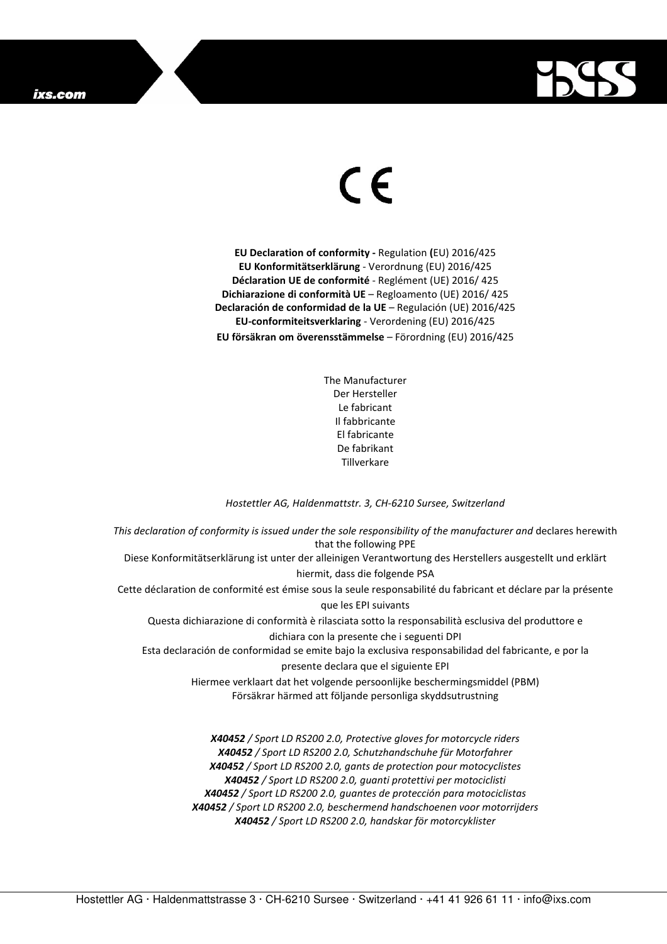

## $\in$

**EU Declaration of conformity -** Regulation **(**EU) 2016/425 **EU Konformitätserklärung** - Verordnung (EU) 2016/425 **Déclaration UE de conformité** - Reglément (UE) 2016/ 425 **Dichiarazione di conformità UE** – Regloamento (UE) 2016/ 425 **Declaración de conformidad de la UE** – Regulación (UE) 2016/425 **EU-conformiteitsverklaring** - Verordening (EU) 2016/425 **EU försäkran om överensstämmelse** – Förordning (EU) 2016/425

> The Manufacturer Der Hersteller Le fabricant Il fabbricante El fabricante De fabrikant Tillverkare

## *Hostettler AG, Haldenmattstr. 3, CH-6210 Sursee, Switzerland*

*This declaration of conformity is issued under the sole responsibility of the manufacturer and* declares herewith that the following PPE Diese Konformitätserklärung ist unter der alleinigen Verantwortung des Herstellers ausgestellt und erklärt hiermit, dass die folgende PSA Cette déclaration de conformité est émise sous la seule responsabilité du fabricant et déclare par la présente que les EPI suivants Questa dichiarazione di conformità è rilasciata sotto la responsabilità esclusiva del produttore e dichiara con la presente che i seguenti DPI Esta declaración de conformidad se emite bajo la exclusiva responsabilidad del fabricante, e por la presente declara que el siguiente EPI Hiermee verklaart dat het volgende persoonlijke beschermingsmiddel (PBM) Försäkrar härmed att följande personliga skyddsutrustning *X40452 / Sport LD RS200 2.0, Protective gloves for motorcycle riders X40452 / Sport LD RS200 2.0, Schutzhandschuhe für Motorfahrer X40452 / Sport LD RS200 2.0, gants de protection pour motocyclistes* 

> *X40452 / Sport LD RS200 2.0, guantes de protección para motociclistas X40452 / Sport LD RS200 2.0, beschermend handschoenen voor motorrijders X40452 / Sport LD RS200 2.0, handskar för motorcyklister*

*X40452 / Sport LD RS200 2.0, guanti protettivi per motociclisti* 

Hostettler AG · Haldenmattstrasse 3 · CH-6210 Sursee · Switzerland · +41 41 926 61 11 · info@ixs.com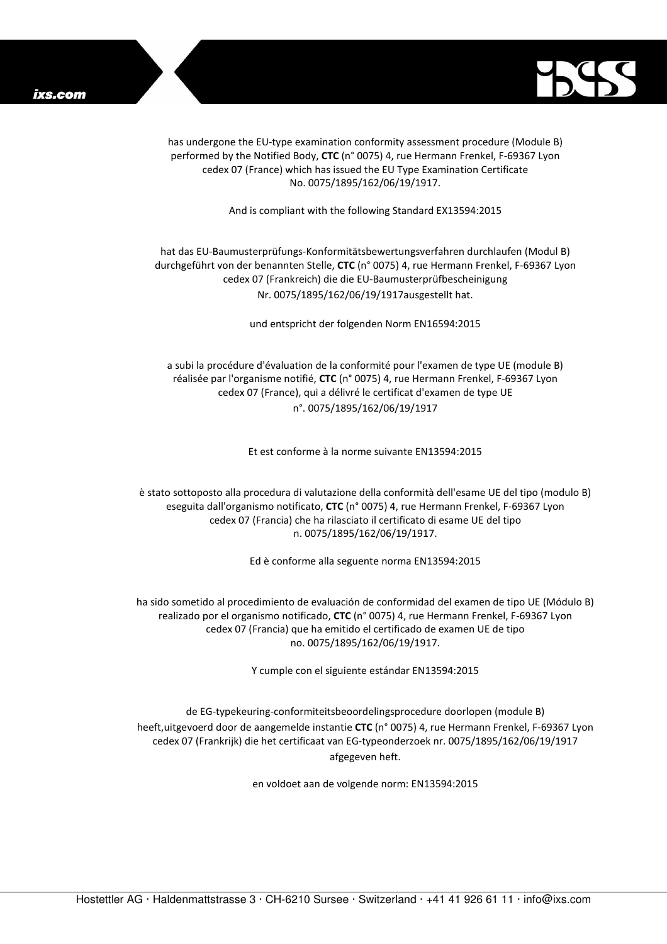

has undergone the EU-type examination conformity assessment procedure (Module B) performed by the Notified Body, **CTC** (n° 0075) 4, rue Hermann Frenkel, F-69367 Lyon cedex 07 (France) which has issued the EU Type Examination Certificate No. 0075/1895/162/06/19/1917.

And is compliant with the following Standard EX13594:2015

## hat das EU-Baumusterprüfungs-Konformitätsbewertungsverfahren durchlaufen (Modul B) durchgeführt von der benannten Stelle, **CTC** (n° 0075) 4, rue Hermann Frenkel, F-69367 Lyon cedex 07 (Frankreich) die die EU-Baumusterprüfbescheinigung Nr. 0075/1895/162/06/19/1917ausgestellt hat.

und entspricht der folgenden Norm EN16594:2015

a subi la procédure d'évaluation de la conformité pour l'examen de type UE (module B) réalisée par l'organisme notifié, **CTC** (n° 0075) 4, rue Hermann Frenkel, F-69367 Lyon cedex 07 (France), qui a délivré le certificat d'examen de type UE n°. 0075/1895/162/06/19/1917

Et est conforme à la norme suivante EN13594:2015

è stato sottoposto alla procedura di valutazione della conformità dell'esame UE del tipo (modulo B) eseguita dall'organismo notificato, **CTC** (n° 0075) 4, rue Hermann Frenkel, F-69367 Lyon cedex 07 (Francia) che ha rilasciato il certificato di esame UE del tipo n. 0075/1895/162/06/19/1917.

Ed è conforme alla seguente norma EN13594:2015

ha sido sometido al procedimiento de evaluación de conformidad del examen de tipo UE (Módulo B) realizado por el organismo notificado, **CTC** (n° 0075) 4, rue Hermann Frenkel, F-69367 Lyon cedex 07 (Francia) que ha emitido el certificado de examen UE de tipo no. 0075/1895/162/06/19/1917.

Y cumple con el siguiente estándar EN13594:2015

de EG-typekeuring-conformiteitsbeoordelingsprocedure doorlopen (module B) heeft,uitgevoerd door de aangemelde instantie **CTC** (n° 0075) 4, rue Hermann Frenkel, F-69367 Lyon cedex 07 (Frankrijk) die het certificaat van EG-typeonderzoek nr. 0075/1895/162/06/19/1917 afgegeven heft.

en voldoet aan de volgende norm: EN13594:2015